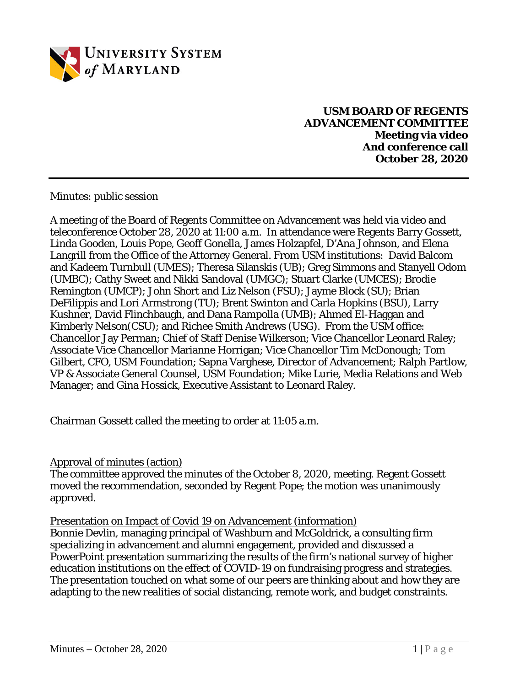

**USM BOARD OF REGENTS ADVANCEMENT COMMITTEE Meeting via video And conference call October 28, 2020**

Minutes: public session

A meeting of the Board of Regents Committee on Advancement was held via video and teleconference October 28, 2020 at 11:00 a.m. In attendance were Regents Barry Gossett, Linda Gooden, Louis Pope, Geoff Gonella, James Holzapfel, D'Ana Johnson, and Elena Langrill from the Office of the Attorney General. From USM institutions: David Balcom and Kadeem Turnbull (UMES); Theresa Silanskis (UB); Greg Simmons and Stanyell Odom (UMBC); Cathy Sweet and Nikki Sandoval (UMGC); Stuart Clarke (UMCES); Brodie Remington (UMCP); John Short and Liz Nelson (FSU); Jayme Block (SU); Brian DeFilippis and Lori Armstrong (TU); Brent Swinton and Carla Hopkins (BSU), Larry Kushner, David Flinchbaugh, and Dana Rampolla (UMB); Ahmed El-Haggan and Kimberly Nelson(CSU); and Richee Smith Andrews (USG). From the USM office: Chancellor Jay Perman; Chief of Staff Denise Wilkerson; Vice Chancellor Leonard Raley; Associate Vice Chancellor Marianne Horrigan; Vice Chancellor Tim McDonough; Tom Gilbert, CFO, USM Foundation; Sapna Varghese, Director of Advancement; Ralph Partlow, VP & Associate General Counsel, USM Foundation; Mike Lurie, Media Relations and Web Manager; and Gina Hossick, Executive Assistant to Leonard Raley.

Chairman Gossett called the meeting to order at 11:05 a.m.

## Approval of minutes (action)

The committee approved the minutes of the October 8, 2020, meeting. Regent Gossett moved the recommendation, seconded by Regent Pope; the motion was unanimously approved.

Presentation on Impact of Covid 19 on Advancement (information)

Bonnie Devlin, managing principal of Washburn and McGoldrick, a consulting firm specializing in advancement and alumni engagement, provided and discussed a PowerPoint presentation summarizing the results of the firm's national survey of higher education institutions on the effect of COVID-19 on fundraising progress and strategies. The presentation touched on what some of our peers are thinking about and how they are adapting to the new realities of social distancing, remote work, and budget constraints.